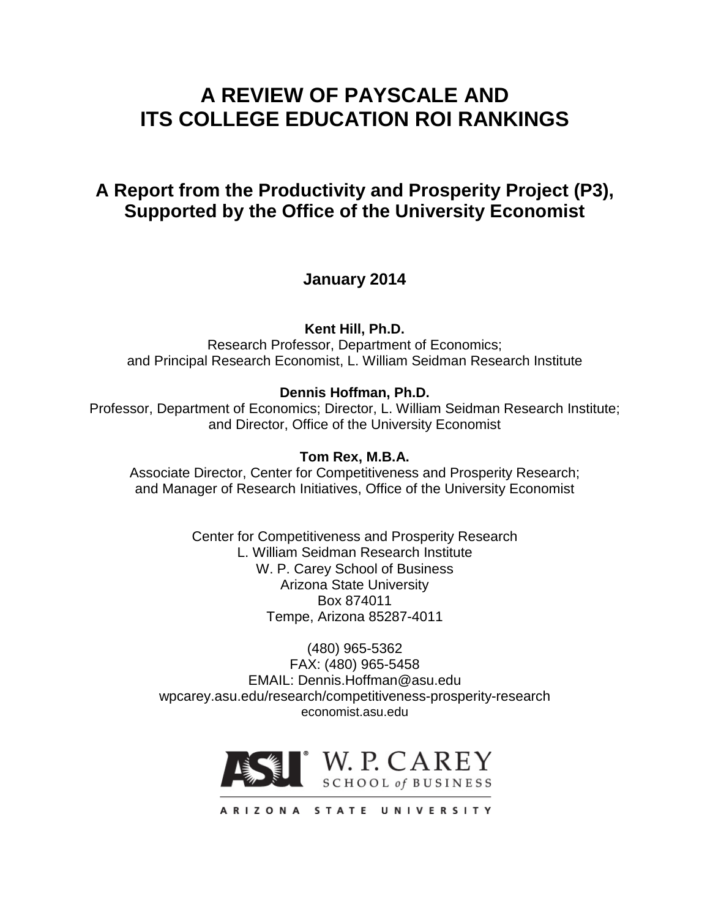# **A REVIEW OF PAYSCALE AND ITS COLLEGE EDUCATION ROI RANKINGS**

# **A Report from the Productivity and Prosperity Project (P3), Supported by the Office of the University Economist**

**January 2014**

**Kent Hill, Ph.D.**

Research Professor, Department of Economics; and Principal Research Economist, L. William Seidman Research Institute

### **Dennis Hoffman, Ph.D.**

Professor, Department of Economics; Director, L. William Seidman Research Institute; and Director, Office of the University Economist

### **Tom Rex, M.B.A.**

Associate Director, Center for Competitiveness and Prosperity Research; and Manager of Research Initiatives, Office of the University Economist

> Center for Competitiveness and Prosperity Research L. William Seidman Research Institute W. P. Carey School of Business Arizona State University Box 874011 Tempe, Arizona 85287-4011

(480) 965-5362 FAX: (480) 965-5458 EMAIL: Dennis.Hoffman@asu.edu wpcarey.asu.edu/research/competitiveness-prosperity-research economist.asu.edu



ARIZONA STATE UNIVERSITY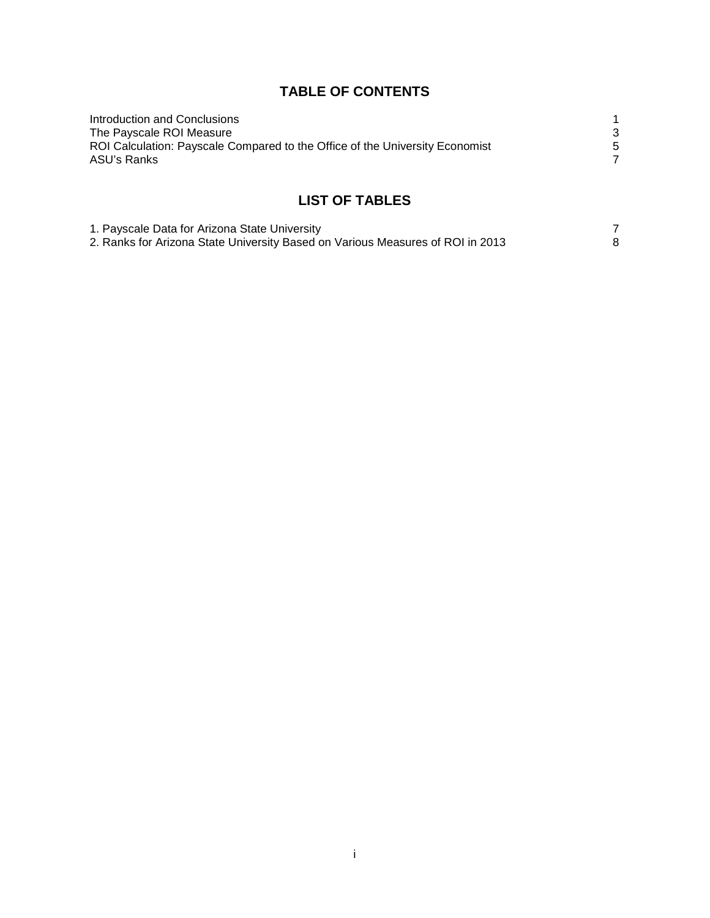## **TABLE OF CONTENTS**

| Introduction and Conclusions                                                 |  |
|------------------------------------------------------------------------------|--|
| The Payscale ROI Measure                                                     |  |
| ROI Calculation: Payscale Compared to the Office of the University Economist |  |
| ASU's Ranks                                                                  |  |
|                                                                              |  |

## **LIST OF TABLES**

| 1. Payscale Data for Arizona State University                                  |  |
|--------------------------------------------------------------------------------|--|
| 2. Ranks for Arizona State University Based on Various Measures of ROI in 2013 |  |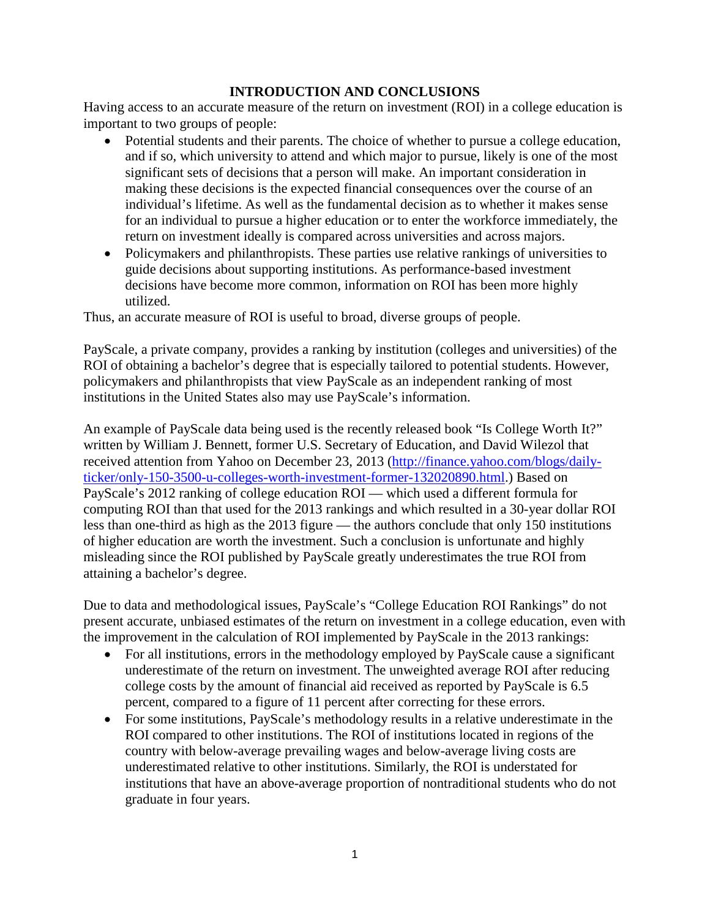#### **INTRODUCTION AND CONCLUSIONS**

Having access to an accurate measure of the return on investment (ROI) in a college education is important to two groups of people:

- Potential students and their parents. The choice of whether to pursue a college education, and if so, which university to attend and which major to pursue, likely is one of the most significant sets of decisions that a person will make. An important consideration in making these decisions is the expected financial consequences over the course of an individual's lifetime. As well as the fundamental decision as to whether it makes sense for an individual to pursue a higher education or to enter the workforce immediately, the return on investment ideally is compared across universities and across majors.
- Policymakers and philanthropists. These parties use relative rankings of universities to guide decisions about supporting institutions. As performance-based investment decisions have become more common, information on ROI has been more highly utilized.

Thus, an accurate measure of ROI is useful to broad, diverse groups of people.

PayScale, a private company, provides a ranking by institution (colleges and universities) of the ROI of obtaining a bachelor's degree that is especially tailored to potential students. However, policymakers and philanthropists that view PayScale as an independent ranking of most institutions in the United States also may use PayScale's information.

An example of PayScale data being used is the recently released book "Is College Worth It?" written by William J. Bennett, former U.S. Secretary of Education, and David Wilezol that received attention from Yahoo on December 23, 2013 [\(http://finance.yahoo.com/blogs/daily](https://ex2010.asu.edu/owa/redir.aspx?C=rE2CRSVYMkug7sGlezKrneaKs1eP3tAI2e0n32hX66W95NbyHVv-a3ImN31kO-k0q6FTHtMxiWU.&URL=http%3a%2f%2ffinance.yahoo.com%2fblogs%2fdaily-ticker%2fonly-150-3500-u-colleges-worth-investment-former-132020890.html)[ticker/only-150-3500-u-colleges-worth-investment-former-132020890.html.](https://ex2010.asu.edu/owa/redir.aspx?C=rE2CRSVYMkug7sGlezKrneaKs1eP3tAI2e0n32hX66W95NbyHVv-a3ImN31kO-k0q6FTHtMxiWU.&URL=http%3a%2f%2ffinance.yahoo.com%2fblogs%2fdaily-ticker%2fonly-150-3500-u-colleges-worth-investment-former-132020890.html)) Based on PayScale's 2012 ranking of college education ROI — which used a different formula for computing ROI than that used for the 2013 rankings and which resulted in a 30-year dollar ROI less than one-third as high as the 2013 figure — the authors conclude that only 150 institutions of higher education are worth the investment. Such a conclusion is unfortunate and highly misleading since the ROI published by PayScale greatly underestimates the true ROI from attaining a bachelor's degree.

Due to data and methodological issues, PayScale's "College Education ROI Rankings" do not present accurate, unbiased estimates of the return on investment in a college education, even with the improvement in the calculation of ROI implemented by PayScale in the 2013 rankings:

- For all institutions, errors in the methodology employed by PayScale cause a significant underestimate of the return on investment. The unweighted average ROI after reducing college costs by the amount of financial aid received as reported by PayScale is 6.5 percent, compared to a figure of 11 percent after correcting for these errors.
- For some institutions, PayScale's methodology results in a relative underestimate in the ROI compared to other institutions. The ROI of institutions located in regions of the country with below-average prevailing wages and below-average living costs are underestimated relative to other institutions. Similarly, the ROI is understated for institutions that have an above-average proportion of nontraditional students who do not graduate in four years.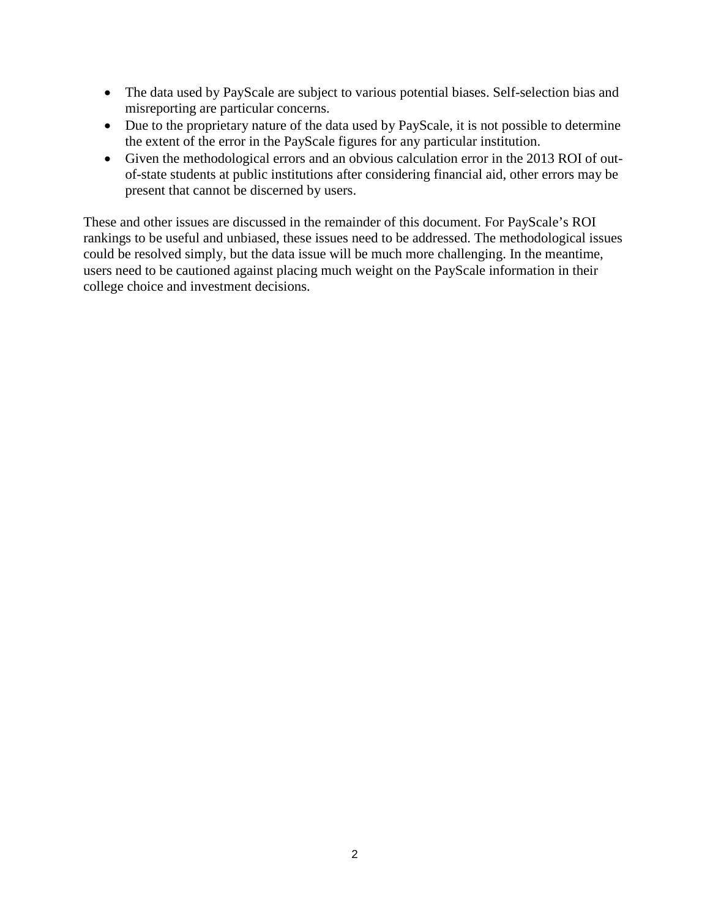- The data used by PayScale are subject to various potential biases. Self-selection bias and misreporting are particular concerns.
- Due to the proprietary nature of the data used by PayScale, it is not possible to determine the extent of the error in the PayScale figures for any particular institution.
- Given the methodological errors and an obvious calculation error in the 2013 ROI of outof-state students at public institutions after considering financial aid, other errors may be present that cannot be discerned by users.

These and other issues are discussed in the remainder of this document. For PayScale's ROI rankings to be useful and unbiased, these issues need to be addressed. The methodological issues could be resolved simply, but the data issue will be much more challenging. In the meantime, users need to be cautioned against placing much weight on the PayScale information in their college choice and investment decisions.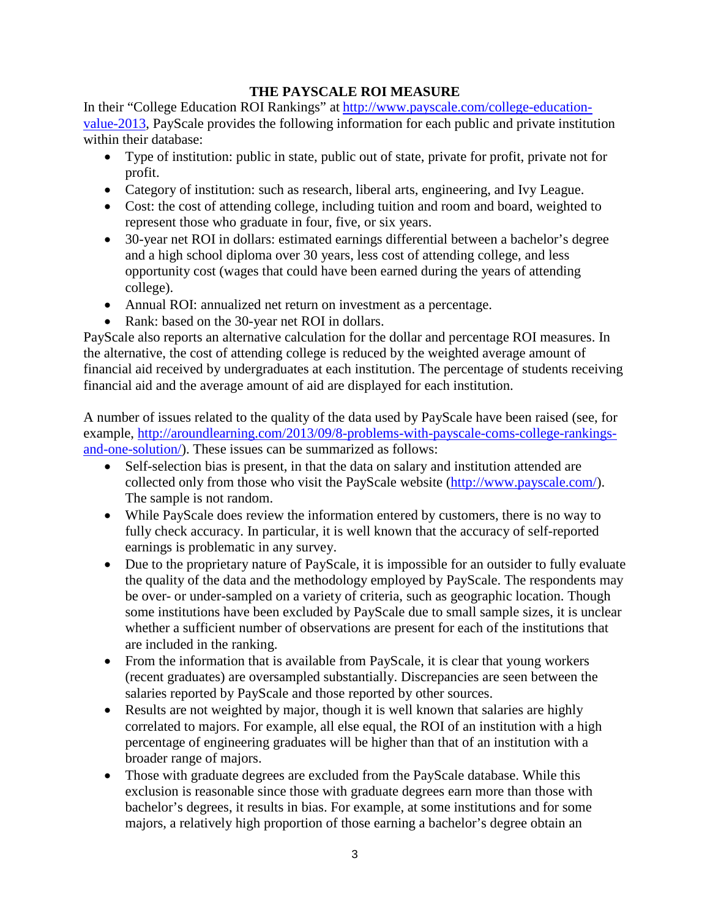### **THE PAYSCALE ROI MEASURE**

In their "College Education ROI Rankings" at [http://www.payscale.com/college-education](http://www.payscale.com/college-education-value-2013)[value-2013,](http://www.payscale.com/college-education-value-2013) PayScale provides the following information for each public and private institution within their database:

- Type of institution: public in state, public out of state, private for profit, private not for profit.
- Category of institution: such as research, liberal arts, engineering, and Ivy League.
- Cost: the cost of attending college, including tuition and room and board, weighted to represent those who graduate in four, five, or six years.
- 30-year net ROI in dollars: estimated earnings differential between a bachelor's degree and a high school diploma over 30 years, less cost of attending college, and less opportunity cost (wages that could have been earned during the years of attending college).
- Annual ROI: annualized net return on investment as a percentage.
- Rank: based on the 30-year net ROI in dollars.

PayScale also reports an alternative calculation for the dollar and percentage ROI measures. In the alternative, the cost of attending college is reduced by the weighted average amount of financial aid received by undergraduates at each institution. The percentage of students receiving financial aid and the average amount of aid are displayed for each institution.

A number of issues related to the quality of the data used by PayScale have been raised (see, for example, [http://aroundlearning.com/2013/09/8-problems-with-payscale-coms-college-rankings](http://aroundlearning.com/2013/09/8-problems-with-payscale-coms-college-rankings-and-one-solution/)[and-one-solution/\)](http://aroundlearning.com/2013/09/8-problems-with-payscale-coms-college-rankings-and-one-solution/). These issues can be summarized as follows:

- Self-selection bias is present, in that the data on salary and institution attended are collected only from those who visit the PayScale website [\(http://www.payscale.com/\)](http://www.payscale.com/). The sample is not random.
- While PayScale does review the information entered by customers, there is no way to fully check accuracy. In particular, it is well known that the accuracy of self-reported earnings is problematic in any survey.
- Due to the proprietary nature of PayScale, it is impossible for an outsider to fully evaluate the quality of the data and the methodology employed by PayScale. The respondents may be over- or under-sampled on a variety of criteria, such as geographic location. Though some institutions have been excluded by PayScale due to small sample sizes, it is unclear whether a sufficient number of observations are present for each of the institutions that are included in the ranking.
- From the information that is available from PayScale, it is clear that young workers (recent graduates) are oversampled substantially. Discrepancies are seen between the salaries reported by PayScale and those reported by other sources.
- Results are not weighted by major, though it is well known that salaries are highly correlated to majors. For example, all else equal, the ROI of an institution with a high percentage of engineering graduates will be higher than that of an institution with a broader range of majors.
- Those with graduate degrees are excluded from the PayScale database. While this exclusion is reasonable since those with graduate degrees earn more than those with bachelor's degrees, it results in bias. For example, at some institutions and for some majors, a relatively high proportion of those earning a bachelor's degree obtain an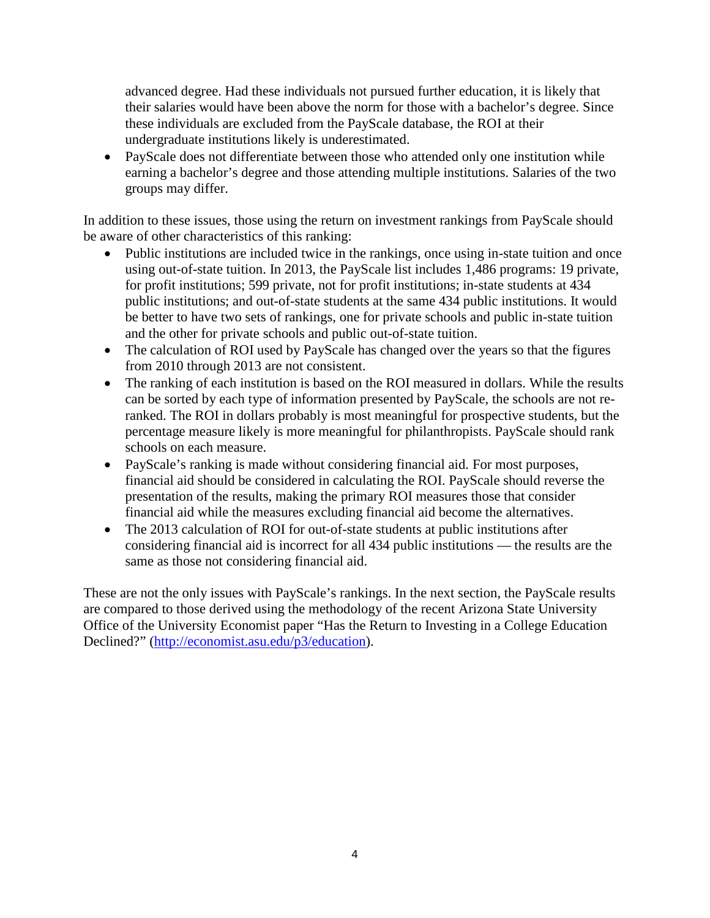advanced degree. Had these individuals not pursued further education, it is likely that their salaries would have been above the norm for those with a bachelor's degree. Since these individuals are excluded from the PayScale database, the ROI at their undergraduate institutions likely is underestimated.

PayScale does not differentiate between those who attended only one institution while earning a bachelor's degree and those attending multiple institutions. Salaries of the two groups may differ.

In addition to these issues, those using the return on investment rankings from PayScale should be aware of other characteristics of this ranking:

- Public institutions are included twice in the rankings, once using in-state tuition and once using out-of-state tuition. In 2013, the PayScale list includes 1,486 programs: 19 private, for profit institutions; 599 private, not for profit institutions; in-state students at 434 public institutions; and out-of-state students at the same 434 public institutions. It would be better to have two sets of rankings, one for private schools and public in-state tuition and the other for private schools and public out-of-state tuition.
- The calculation of ROI used by PayScale has changed over the years so that the figures from 2010 through 2013 are not consistent.
- The ranking of each institution is based on the ROI measured in dollars. While the results can be sorted by each type of information presented by PayScale, the schools are not reranked. The ROI in dollars probably is most meaningful for prospective students, but the percentage measure likely is more meaningful for philanthropists. PayScale should rank schools on each measure.
- PayScale's ranking is made without considering financial aid. For most purposes, financial aid should be considered in calculating the ROI. PayScale should reverse the presentation of the results, making the primary ROI measures those that consider financial aid while the measures excluding financial aid become the alternatives.
- The 2013 calculation of ROI for out-of-state students at public institutions after considering financial aid is incorrect for all 434 public institutions — the results are the same as those not considering financial aid.

These are not the only issues with PayScale's rankings. In the next section, the PayScale results are compared to those derived using the methodology of the recent Arizona State University Office of the University Economist paper "Has the Return to Investing in a College Education Declined?" [\(http://economist.asu.edu/p3/education\)](http://economist.asu.edu/p3/education).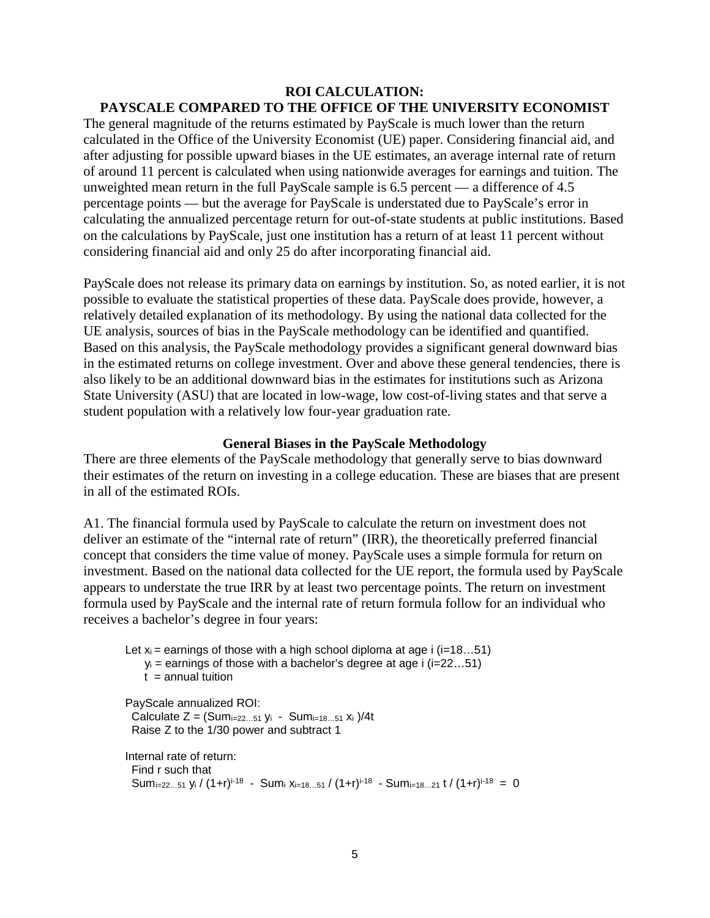#### **ROI CALCULATION: PAYSCALE COMPARED TO THE OFFICE OF THE UNIVERSITY ECONOMIST**

The general magnitude of the returns estimated by PayScale is much lower than the return calculated in the Office of the University Economist (UE) paper. Considering financial aid, and after adjusting for possible upward biases in the UE estimates, an average internal rate of return of around 11 percent is calculated when using nationwide averages for earnings and tuition. The unweighted mean return in the full PayScale sample is 6.5 percent — a difference of 4.5 percentage points — but the average for PayScale is understated due to PayScale's error in calculating the annualized percentage return for out-of-state students at public institutions. Based on the calculations by PayScale, just one institution has a return of at least 11 percent without considering financial aid and only 25 do after incorporating financial aid.

PayScale does not release its primary data on earnings by institution. So, as noted earlier, it is not possible to evaluate the statistical properties of these data. PayScale does provide, however, a relatively detailed explanation of its methodology. By using the national data collected for the UE analysis, sources of bias in the PayScale methodology can be identified and quantified. Based on this analysis, the PayScale methodology provides a significant general downward bias in the estimated returns on college investment. Over and above these general tendencies, there is also likely to be an additional downward bias in the estimates for institutions such as Arizona State University (ASU) that are located in low-wage, low cost-of-living states and that serve a student population with a relatively low four-year graduation rate.

#### **General Biases in the PayScale Methodology**

There are three elements of the PayScale methodology that generally serve to bias downward their estimates of the return on investing in a college education. These are biases that are present in all of the estimated ROIs.

A1. The financial formula used by PayScale to calculate the return on investment does not deliver an estimate of the "internal rate of return" (IRR), the theoretically preferred financial concept that considers the time value of money. PayScale uses a simple formula for return on investment. Based on the national data collected for the UE report, the formula used by PayScale appears to understate the true IRR by at least two percentage points. The return on investment formula used by PayScale and the internal rate of return formula follow for an individual who receives a bachelor's degree in four years:

Let  $x_i$  = earnings of those with a high school diploma at age i ( $i$ =18...51)  $y_i$  = earnings of those with a bachelor's degree at age i ( $i=22...51$ )  $t =$ annual tuition PayScale annualized ROI: Calculate  $Z = (Sum_{i=22...51} y_i - Sum_{i=18...51} x_i)/4t$  Raise Z to the 1/30 power and subtract 1 Internal rate of return: Find r such that Sumi=22...51 yi /  $(1+r)^{i-18}$  - Sumi xi=18...51 /  $(1+r)^{i-18}$  - Sumi=18...21 t /  $(1+r)^{i-18}$  = 0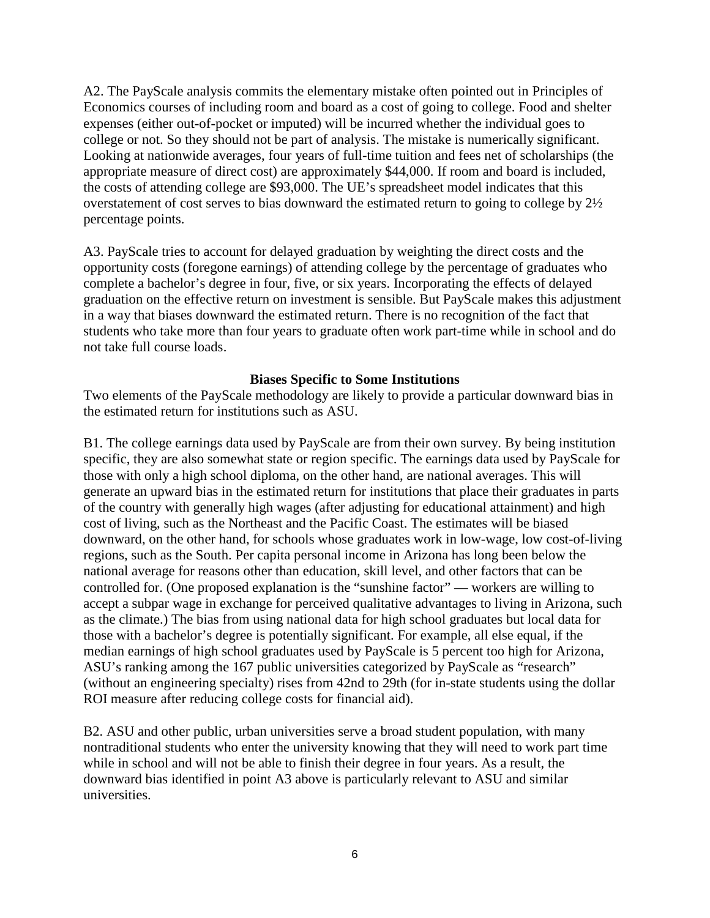A2. The PayScale analysis commits the elementary mistake often pointed out in Principles of Economics courses of including room and board as a cost of going to college. Food and shelter expenses (either out-of-pocket or imputed) will be incurred whether the individual goes to college or not. So they should not be part of analysis. The mistake is numerically significant. Looking at nationwide averages, four years of full-time tuition and fees net of scholarships (the appropriate measure of direct cost) are approximately \$44,000. If room and board is included, the costs of attending college are \$93,000. The UE's spreadsheet model indicates that this overstatement of cost serves to bias downward the estimated return to going to college by 2½ percentage points.

A3. PayScale tries to account for delayed graduation by weighting the direct costs and the opportunity costs (foregone earnings) of attending college by the percentage of graduates who complete a bachelor's degree in four, five, or six years. Incorporating the effects of delayed graduation on the effective return on investment is sensible. But PayScale makes this adjustment in a way that biases downward the estimated return. There is no recognition of the fact that students who take more than four years to graduate often work part-time while in school and do not take full course loads.

#### **Biases Specific to Some Institutions**

Two elements of the PayScale methodology are likely to provide a particular downward bias in the estimated return for institutions such as ASU.

B1. The college earnings data used by PayScale are from their own survey. By being institution specific, they are also somewhat state or region specific. The earnings data used by PayScale for those with only a high school diploma, on the other hand, are national averages. This will generate an upward bias in the estimated return for institutions that place their graduates in parts of the country with generally high wages (after adjusting for educational attainment) and high cost of living, such as the Northeast and the Pacific Coast. The estimates will be biased downward, on the other hand, for schools whose graduates work in low-wage, low cost-of-living regions, such as the South. Per capita personal income in Arizona has long been below the national average for reasons other than education, skill level, and other factors that can be controlled for. (One proposed explanation is the "sunshine factor" — workers are willing to accept a subpar wage in exchange for perceived qualitative advantages to living in Arizona, such as the climate.) The bias from using national data for high school graduates but local data for those with a bachelor's degree is potentially significant. For example, all else equal, if the median earnings of high school graduates used by PayScale is 5 percent too high for Arizona, ASU's ranking among the 167 public universities categorized by PayScale as "research" (without an engineering specialty) rises from 42nd to 29th (for in-state students using the dollar ROI measure after reducing college costs for financial aid).

B2. ASU and other public, urban universities serve a broad student population, with many nontraditional students who enter the university knowing that they will need to work part time while in school and will not be able to finish their degree in four years. As a result, the downward bias identified in point A3 above is particularly relevant to ASU and similar universities.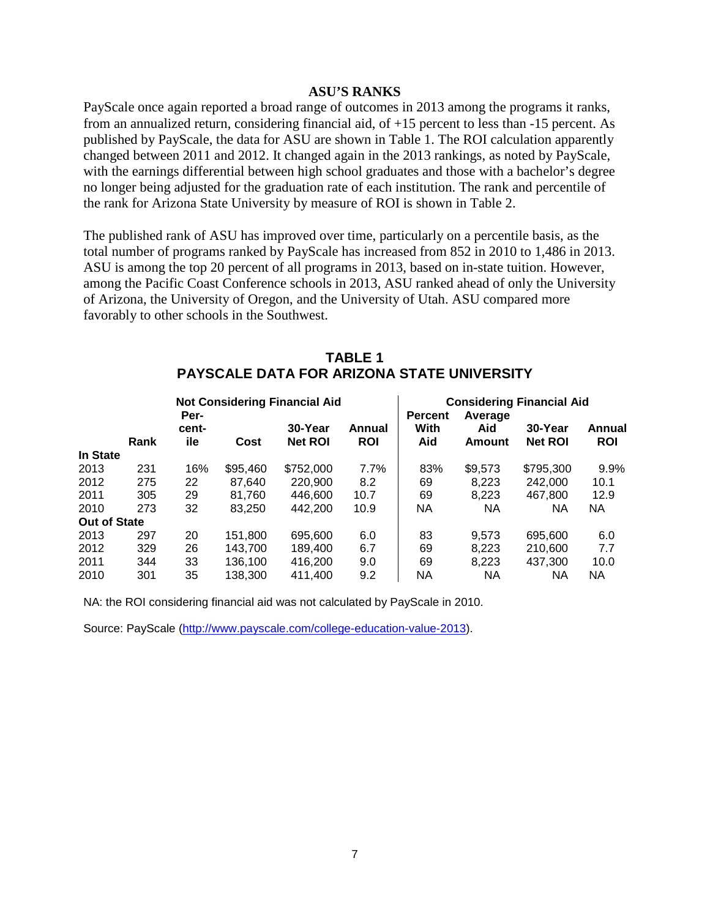#### **ASU'S RANKS**

PayScale once again reported a broad range of outcomes in 2013 among the programs it ranks, from an annualized return, considering financial aid, of +15 percent to less than -15 percent. As published by PayScale, the data for ASU are shown in Table 1. The ROI calculation apparently changed between 2011 and 2012. It changed again in the 2013 rankings, as noted by PayScale, with the earnings differential between high school graduates and those with a bachelor's degree no longer being adjusted for the graduation rate of each institution. The rank and percentile of the rank for Arizona State University by measure of ROI is shown in Table 2.

The published rank of ASU has improved over time, particularly on a percentile basis, as the total number of programs ranked by PayScale has increased from 852 in 2010 to 1,486 in 2013. ASU is among the top 20 percent of all programs in 2013, based on in-state tuition. However, among the Pacific Coast Conference schools in 2013, ASU ranked ahead of only the University of Arizona, the University of Oregon, and the University of Utah. ASU compared more favorably to other schools in the Southwest.

|                     | FATSUALE DATA FÜR ARIZUNA STATE UNIVERSITT |                                              |          |                |            |                                                               |           |                |            |
|---------------------|--------------------------------------------|----------------------------------------------|----------|----------------|------------|---------------------------------------------------------------|-----------|----------------|------------|
|                     |                                            | <b>Not Considering Financial Aid</b><br>Per- |          |                |            | <b>Considering Financial Aid</b><br><b>Percent</b><br>Average |           |                |            |
|                     |                                            | cent-                                        |          | 30-Year        | Annual     | With                                                          | Aid       | 30-Year        | Annual     |
|                     | Rank                                       | ile                                          | Cost     | <b>Net ROI</b> | <b>ROI</b> | Aid                                                           | Amount    | <b>Net ROI</b> | <b>ROI</b> |
| In State            |                                            |                                              |          |                |            |                                                               |           |                |            |
| 2013                | 231                                        | 16%                                          | \$95,460 | \$752,000      | 7.7%       | 83%                                                           | \$9,573   | \$795,300      | 9.9%       |
| 2012                | 275                                        | 22                                           | 87.640   | 220,900        | 8.2        | 69                                                            | 8.223     | 242,000        | 10.1       |
| 2011                | 305                                        | 29                                           | 81.760   | 446,600        | 10.7       | 69                                                            | 8,223     | 467.800        | 12.9       |
| 2010                | 273                                        | 32                                           | 83.250   | 442.200        | 10.9       | NA                                                            | <b>NA</b> | NA.            | NA.        |
| <b>Out of State</b> |                                            |                                              |          |                |            |                                                               |           |                |            |
| 2013                | 297                                        | 20                                           | 151.800  | 695,600        | 6.0        | 83                                                            | 9.573     | 695,600        | 6.0        |
| 2012                | 329                                        | 26                                           | 143.700  | 189,400        | 6.7        | 69                                                            | 8.223     | 210,600        | 7.7        |
| 2011                | 344                                        | 33                                           | 136.100  | 416.200        | 9.0        | 69                                                            | 8,223     | 437.300        | 10.0       |
| 2010                | 301                                        | 35                                           | 138,300  | 411.400        | 9.2        | NA                                                            | <b>NA</b> | NА             | NA.        |

#### **TABLE 1 PART ARIZON STATE LINIVERSITY**

NA: the ROI considering financial aid was not calculated by PayScale in 2010.

Source: PayScale [\(http://www.payscale.com/college-education-value-2013\)](http://www.payscale.com/college-education-value-2013).